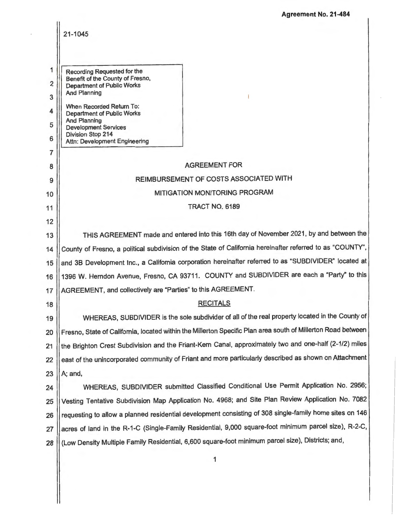**Agreement No. 21-484** 

|                                         | 21-1045                                                                                                                                                                                                                                                                                                         |  |
|-----------------------------------------|-----------------------------------------------------------------------------------------------------------------------------------------------------------------------------------------------------------------------------------------------------------------------------------------------------------------|--|
| 1<br>$\overline{2}$<br>3<br>4<br>5<br>6 | Recording Requested for the<br>Benefit of the County of Fresno,<br><b>Department of Public Works</b><br><b>And Planning</b><br>When Recorded Return To:<br><b>Department of Public Works</b><br><b>And Planning</b><br><b>Development Services</b><br><b>Division Stop 214</b><br>Attn: Development Engineering |  |
| 7<br>8                                  | <b>AGREEMENT FOR</b>                                                                                                                                                                                                                                                                                            |  |
| 9                                       | REIMBURSEMENT OF COSTS ASSOCIATED WITH                                                                                                                                                                                                                                                                          |  |
| 10                                      | MITIGATION MONITORING PROGRAM                                                                                                                                                                                                                                                                                   |  |
| 11                                      | <b>TRACT NO. 6189</b>                                                                                                                                                                                                                                                                                           |  |
| 12                                      |                                                                                                                                                                                                                                                                                                                 |  |
| 13                                      | THIS AGREEMENT made and entered into this 16th day of November 2021, by and between the                                                                                                                                                                                                                         |  |
| 14                                      | County of Fresno, a political subdivision of the State of California hereinafter referred to as "COUNTY",                                                                                                                                                                                                       |  |
| 15                                      | and 3B Development Inc., a California corporation hereinafter referred to as "SUBDIVIDER" located at                                                                                                                                                                                                            |  |
| 16                                      | 1396 W. Herndon Avenue, Fresno, CA 93711. COUNTY and SUBDIVIDER are each a "Party" to this                                                                                                                                                                                                                      |  |
| 17                                      | AGREEMENT, and collectively are "Parties" to this AGREEMENT.                                                                                                                                                                                                                                                    |  |
| 18                                      | <b>RECITALS</b>                                                                                                                                                                                                                                                                                                 |  |
| 19                                      | WHEREAS, SUBDIVIDER is the sole subdivider of all of the real property located in the County of                                                                                                                                                                                                                 |  |
| 20                                      | Fresno, State of California, located within the Millerton Specific Plan area south of Millerton Road between                                                                                                                                                                                                    |  |
| 21                                      | the Brighton Crest Subdivision and the Friant-Kern Canal, approximately two and one-half (2-1/2) miles                                                                                                                                                                                                          |  |
| 22                                      | east of the unincorporated community of Friant and more particularly described as shown on Attachment                                                                                                                                                                                                           |  |
| 23                                      | A; and,                                                                                                                                                                                                                                                                                                         |  |
| 24                                      | WHEREAS, SUBDIVIDER submitted Classified Conditional Use Permit Application No. 2956;                                                                                                                                                                                                                           |  |
| 25                                      | Vesting Tentative Subdivision Map Application No. 4968; and Site Plan Review Application No. 7082                                                                                                                                                                                                               |  |
| 26                                      | requesting to allow a planned residential development consisting of 308 single-family home sites on 146                                                                                                                                                                                                         |  |
| 27                                      | acres of land in the R-1-C (Single-Family Residential, 9,000 square-foot minimum parcel size), R-2-C,                                                                                                                                                                                                           |  |
| 28                                      | (Low Density Multiple Family Residential, 6,600 square-foot minimum parcel size), Districts; and,                                                                                                                                                                                                               |  |
|                                         | 1                                                                                                                                                                                                                                                                                                               |  |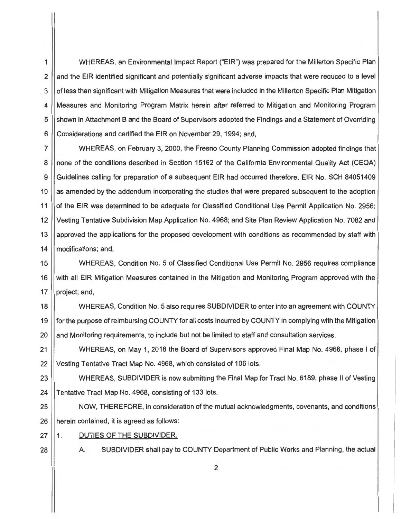1 WHEREAS, an Environmental Impact Report ("EIR") was prepared for the Millerton Specific Plan 2 and the EIR identified significant and potentially significant adverse impacts that were reduced to a level 3 | of less than significant with Mitigation Measures that were included in the Millerton Specific Plan Mitigation 4 Measures and Monitoring Program Matrix herein after referred to Mitigation and Monitoring Program 5 Superson in Attachment B and the Board of Supervisors adopted the Findings and a Statement of Overriding 6 Considerations and certified the EIR on November 29, 1994; and,

7 WHEREAS, on February 3, 2000, the Fresno County Planning Commission adopted findings that 8 | none of the conditions described in Section 15162 of the California Environmental Quality Act (CEQA) 9 Guidelines calling for preparation of a subsequent EIR had occurred therefore, EIR No. SCH 84051409 10 | as amended by the addendum incorporating the studies that were prepared subsequent to the adoption 11 | of the EIR was determined to be adequate for Classified Conditional Use Permit Application No. 2956; 12 Vesting Tentative Subdivision Map Application No. 4968; and Site Plan Review Application No. 7082 and 13 approved the applications for the proposed development with conditions as recommended by staff with 14 | modifications; and,

15 WHEREAS, Condition No. 5 of Classified Conditional Use Permit No. 2956 requires compliance 16 With all EIR Mitigation Measures contained in the Mitigation and Monitoring Program approved with the 17  $\parallel$  project; and,

18 WHEREAS, Condition No. 5 also requires SUBDIVIDER to enter into an agreement with COUNTY 19 for the purpose of reimbursing COUNTY for all costs incurred by COUNTY in complying with the Mitigation 20 || and Monitoring requirements, to include but not be limited to staff and consultation services.

21 | WHEREAS, on May 1, 2018 the Board of Supervisors approved Final Map No. 4968, phase I of 22 | Vesting Tentative Tract Map No. 4968, which consisted of 106 lots.

23 WHEREAS, SUBDIVIDER is now submitting the Final Map for Tract No. 6189, phase II of Vesting 24 | Tentative Tract Map No. 4968, consisting of 133 lots.

25 NOW, THEREFORE, in consideration of the mutual acknowledgments, covenants, and conditions 26 **herein contained, it is agreed as follows:** 

- 27 || 1. DUTIES OF THE SUBDIVIDER.
- 
- 

28 A. SUBDIVIDER shall pay to COUNTY Department of Public Works and Planning, the actual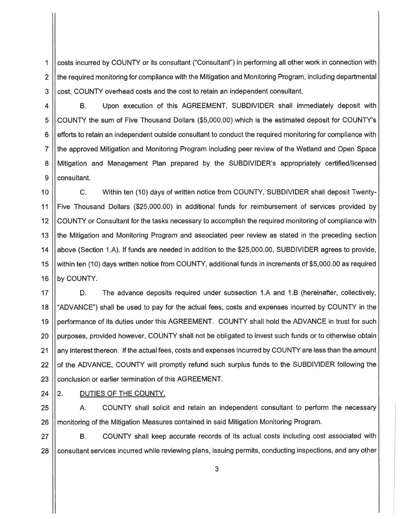1 costs incurred by COUNTY or its consultant ("Consultant") in performing all other work in connection with 2 || the required monitoring for compliance with the Mitigation and Monitoring Program, including departmental 3 cost, COUNTY overhead costs and the cost to retain an independent consultant.

4 B. Upon execution of this AGREEMENT, SUBDIVIDER shall immediately deposit with 5 COUNTY the sum of Five Thousand Dollars (\$5,000.00) which is the estimated deposit for COUNTY's 6 efforts to retain an independent outside consultant to conduct the required monitoring for compliance with 7 the approved Mitigation and Monitoring Program including peer review of the Wetland and Open Space 8 Mitigation and Management Plan prepared by the SUBDIVIDER's appropriately certified/licensed 9 || consultant.

10 11 12 13 14 15 16 C. Within ten (10) days of written notice from COUNTY, SUBDIVIDER shall deposit Twenty-Five Thousand Dollars (\$25,000.00) in additional funds for reimbursement of services provided by COUNTY or Consultant for the tasks necessary to accomplish the required monitoring of compliance with the Mitigation and Monitoring Program and associated peer review as stated in the preceding section above (Section 1.A). If funds are needed in addition to the \$25,000.00, SUBDIVIDER agrees to provide, within ten (10) days written notice from COUNTY, additional funds in increments of \$5,000.00 as required by COUNTY.

17 18 19 20 21 22 23 D. The advance deposits required under subsection 1.A and 1.B (hereinafter, collectively, "ADVANCE") shall be used to pay for the actual fees, costs and expenses incurred by COUNTY in the performance of its duties under this AGREEMENT. COUNTY shall hold the ADVANCE in trust for such purposes, provided however, COUNTY shall not be obligated to invest such funds or to otherwise obtain any interest thereon. If the actual fees, costs and expenses incurred by COUNTY are less than the amount of the ADVANCE, COUNTY will promptly refund such surplus funds to the SUBDIVIDER following the conclusion or earlier termination of this AGREEMENT.

 $24$  | 2.

# DUTIES OF THE COUNTY.

25 A. COUNTY shall solicit and retain an independent consultant to perform the necessary 26 | monitoring of the Mitigation Measures contained in said Mitigation Monitoring Program.

27 | B. COUNTY shall keep accurate records of its actual costs including cost associated with 28 Consultant services incurred while reviewing plans, issuing permits, conducting inspections, and any other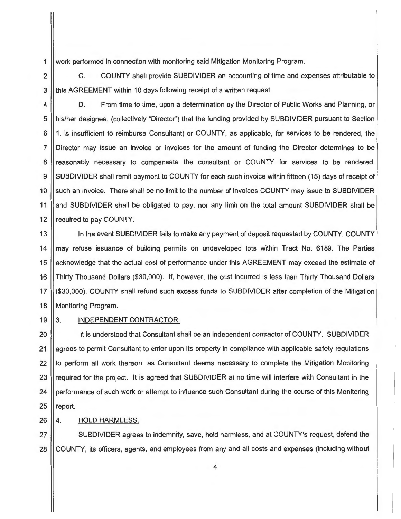1 work performed in connection with monitoring said Mitigation Monitoring Program.

2 C. COUNTY shall provide SUBDIVIDER an accounting of time and expenses attributable to 3 || this AGREEMENT within 10 days following receipt of a written request.

4  $\vert$  D. From time to time, upon a determination by the Director of Public Works and Planning, or 5 his/her designee, (collectively "Director") that the funding provided by SUBDIVIDER pursuant to Section 6 | 1. is insufficient to reimburse Consultant) or COUNTY, as applicable, for services to be rendered, the 7 Director may issue an invoice or invoices for the amount of funding the Director determines to be 8 || reasonably necessary to compensate the consultant or COUNTY for services to be rendered. 9 SUBDIVIDER shall remit payment to COUNTY for each such invoice within fifteen (15) days of receipt of 10 Such an invoice. There shall be no limit to the number of invoices COUNTY may issue to SUBDIVIDER 11 and SUBDIVIDER shall be obligated to pay, nor any limit on the total amount SUBDIVIDER shall be 12 | required to pay COUNTY.

13 || In the event SUBDIVIDER fails to make any payment of deposit requested by COUNTY, COUNTY 14 || may refuse issuance of building permits on undeveloped lots within Tract No. 6189. The Parties 15 acknowledge that the actual cost of performance under this AGREEMENT may exceed the estimate of 16 Thirty Thousand Dollars (\$30,000). If, however, the cost incurred is less than Thirty Thousand Dollars 17 (\$30,000), COUNTY shall refund such excess funds to SUBDIVIDER after completion of the Mitigation 18 | Monitoring Program.

### 19 3. INDEPENDENT CONTRACTOR.

20 | It is understood that Consultant shall be an independent contractor of COUNTY. SUBDIVIDER 21 agrees to permit Consultant to enter upon its property in compliance with applicable safety regulations  $22$  If to perform all work thereon, as Consultant deems necessary to complete the Mitigation Monitoring 23 required for the project. It is agreed that SUBDIVIDER at no time will interfere with Consultant in the 24 performance of such work or attempt to influence such Consultant during the course of this Monitoring  $25$  | report.

26 | 4. HOLD HARMLESS.

27 SUBDIVIDER agrees to indemnify, save, hold harmless, and at COUNTY's request, defend the 28 COUNTY, its officers, agents, and employees from any and all costs and expenses (including without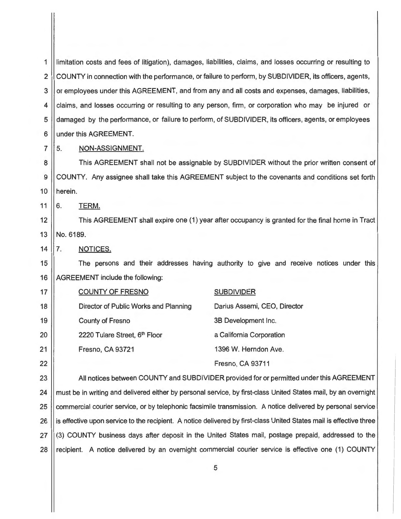1 2 3 4 5 6 limitation costs and fees of litigation), damages, liabilities, claims, and losses occurring or resulting to COUNTY in connection with the performance, or failure to perform, by SUBDIVIDER, its officers, agents, or employees under this AGREEMENT, and from any and all costs and expenses, damages, liabilities, claims, and losses occurring or resulting to any person, firm , or corporation who may be injured or damaged by the performance, or failure to perform, of SUBDIVIDER, its officers, agents, or employees under this AGREEMENT.

5. NON-ASSIGNMENT.

8 9 10 This AGREEMENT shall not be assignable by SUBDIVIDER without the prior written consent of COUNTY. Any assignee shall take this AGREEMENT subject to the covenants and conditions set forth herein.

6. TERM.

7

11

14

12 13 This AGREEMENT shall expire one (1) year after occupancy is granted for the final home in Tract No. 6189.

7. NOTICES.

15 16 The persons and their addresses having authority to give and receive notices under this AGREEMENT include the following:

| 17              | <b>COUNTY OF FRESNO</b>               | <b>SUBDIVIDER</b>            |
|-----------------|---------------------------------------|------------------------------|
| 18              | Director of Public Works and Planning | Darius Assemi, CEO, Director |
| 19              | <b>County of Fresno</b>               | 3B Development Inc.          |
| 20              | 2220 Tulare Street, 6th Floor         | a California Corporation     |
| $\overline{21}$ | Fresno, CA 93721                      | 1396 W. Herndon Ave.         |
| 22              |                                       | Fresno, CA 93711             |

23 | All notices between COUNTY and SUBDIVIDER provided for or permitted under this AGREEMENT 24 | must be in writing and delivered either by personal service, by first-class United States mail, by an overnight 25 commercial courier service, or by telephonic facsimile transmission. A notice delivered by personal service 26 | is effective upon service to the recipient. A notice delivered by first-class United States mail is effective three 27 (3) COUNTY business days after deposit in the United States mail, postage prepaid, addressed to the 28 | recipient. A notice delivered by an overnight commercial courier service is effective one (1) COUNTY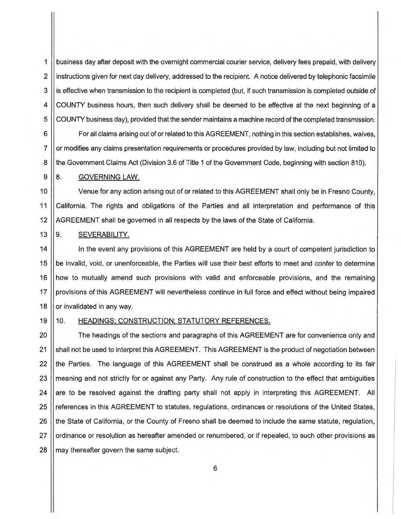1 business day after deposit with the overnight commercial courier service, delivery fees prepaid, with delivery 2 | instructions given for next day delivery, addressed to the recipient. A notice delivered by telephonic facsimile 3 | is effective when transmission to the recipient is completed (but, if such transmission is completed outside of 4 COUNTY business hours, then such delivery shall be deemed to be effective at the next beginning of a 5 COUNTY business day), provided that the sender maintains a machine record of the completed transmission. 6  $\vert\vert$  For all claims arising out of or related to this AGREEMENT, nothing in this section establishes, waives, 7 | or modifies any claims presentation requirements or procedures provided by law, including but not limited to

8 || the Government Claims Act (Division 3.6 of Title 1 of the Government Code, beginning with section 810).

## $9 \parallel 8$ . GOVERNING LAW.

10 Venue for any action arising out of or related to this AGREEMENT shall only be in Fresno County, 11 California. The rights and obligations of the Parties and all interpretation and performance of this 12 AGREEMENT shall be governed in all respects by the laws of the State of California.

# 13 9. SEVERABILITY.

14 In the event any provisions of this AGREEMENT are held by a court of competent jurisdiction to 15 | be invalid, void, or unenforceable, the Parties will use their best efforts to meet and confer to determine 16 | how to mutually amend such provisions with valid and enforceable provisions, and the remaining 17 | provisions of this AGREEMENT will nevertheless continue in full force and effect without being impaired 18  $\vert\vert$  or invalidated in any way.

## 19 || 10. HEADINGS; CONSTRUCTION; STATUTORY REFERENCES.

20 | The headings of the sections and paragraphs of this AGREEMENT are for convenience only and 21 Shall not be used to interpret this AGREEMENT. This AGREEMENT is the product of negotiation between 22 || the Parties. The language of this AGREEMENT shall be construed as a whole according to its fair 23 || meaning and not strictly for or against any Party. Any rule of construction to the effect that ambiguities 24 are to be resolved against the drafting party shall not apply in interpreting this AGREEMENT. All 25 | references in this AGREEMENT to statutes, regulations, ordinances or resolutions of the United States, 26 | the State of California, or the County of Fresno shall be deemed to include the same statute, regulation, 27 | ordinance or resolution as hereafter amended or renumbered, or if repealed, to such other provisions as  $28$  || may thereafter govern the same subject.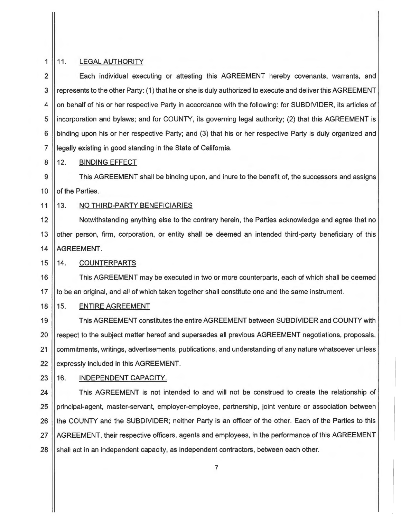# 11. LEGAL AUTHORITY

1

8

9

2 3 4 5 6 7 Each individual executing or attesting this AGREEMENT hereby covenants, warrants, and represents to the other Party: (1) that he or she is duly authorized to execute and deliver this AGREEMENT on behalf of his or her respective Party in accordance with the following: for SUBDIVIDER, its articles of incorporation and bylaws; and for COUNTY, its governing legal authority; (2) that this AGREEMENT is binding upon his or her respective Party; and (3) that his or her respective Party is duly organized and legally existing in good standing in the State of California.

### 12. BINDING EFFECT

10 This AGREEMENT shall be binding upon, and inure to the benefit of, the successors and assigns of the Parties.

#### 11 13. NO THIRD-PARTY BENEFICIARIES

12 13 14 Notwithstanding anything else to the contrary herein, the Parties acknowledge and agree that no other person, firm, corporation, or entity shall be deemed an intended third-party beneficiary of this AGREEMENT.

#### $15$   $\parallel$  14. **COUNTERPARTS**

16 This AGREEMENT may be executed in two or more counterparts, each of which shall be deemed 17 || to be an original, and all of which taken together shall constitute one and the same instrument.

# 18 || 15. ENTIRE AGREEMENT

19 This AGREEMENT constitutes the entire AGREEMENT between SUBDIVIDER and COUNTY with 20 || respect to the subject matter hereof and supersedes all previous AGREEMENT negotiations, proposals, 21 | commitments, writings, advertisements, publications, and understanding of any nature whatsoever unless 22 | expressly included in this AGREEMENT.

# 23 || 16. INDEPENDENT CAPACITY.

24 | This AGREEMENT is not intended to and will not be construed to create the relationship of 25 | principal-agent, master-servant, employer-employee, partnership, joint venture or association between 26 I the COUNTY and the SUBDIVIDER; neither Party is an officer of the other. Each of the Parties to this 27 AGREEMENT, their respective officers, agents and employees, in the performance of this AGREEMENT 28  $\parallel$  shall act in an independent capacity, as independent contractors, between each other.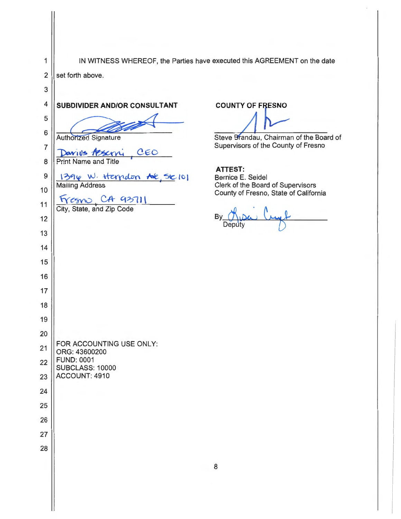| 1              |                                                      | IN WITNESS WHEREOF, the Parties have executed this AGREEMENT on the date   |
|----------------|------------------------------------------------------|----------------------------------------------------------------------------|
| 2              | set forth above.                                     |                                                                            |
| 3              |                                                      |                                                                            |
| 4              | SUBDIVIDER AND/OR CONSULTANT                         | <b>COUNTY OF FRESNO</b>                                                    |
| 5              |                                                      |                                                                            |
| 6              | <b>Authorized Signature</b>                          | Steve Brandau, Chairman of the Board of                                    |
| $\overline{7}$ | Davius Asservi<br>CEO                                | Supervisors of the County of Fresno                                        |
| 8              | <b>Print Name and Title</b>                          |                                                                            |
| 9              | 1394 W. Herndon AVE, Ste 101                         | <b>ATTEST:</b><br>Bernice E. Seidel                                        |
| 10             | <b>Mailing Address</b>                               | Clerk of the Board of Supervisors<br>County of Fresno, State of California |
| 11             | $Fresno$ , $CA$ $93711$<br>City, State, and Zip Code |                                                                            |
| 12             |                                                      | B <sub>)</sub><br>Deputy                                                   |
| 13             |                                                      |                                                                            |
| 14             |                                                      |                                                                            |
| 15             |                                                      |                                                                            |
| 16             |                                                      |                                                                            |
| 17             |                                                      |                                                                            |
| 18             |                                                      |                                                                            |
| 19             |                                                      |                                                                            |
| 20             |                                                      |                                                                            |
| 21             | FOR ACCOUNTING USE ONLY:<br>ORG: 43600200            |                                                                            |
| 22             | <b>FUND: 0001</b><br><b>SUBCLASS: 10000</b>          |                                                                            |
| 23             | ACCOUNT: 4910                                        |                                                                            |
| 24             |                                                      |                                                                            |
| 25             |                                                      |                                                                            |
| 26             |                                                      |                                                                            |
| 27             |                                                      |                                                                            |
| 28             |                                                      |                                                                            |
|                |                                                      | 8                                                                          |
|                |                                                      |                                                                            |
|                |                                                      |                                                                            |